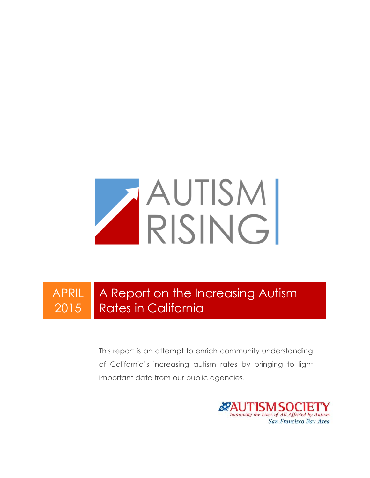

APRIL 2015 A Report on the Increasing Autism Rates in California

> This report is an attempt to enrich community understanding of California's increasing autism rates by bringing to light important data from our public agencies.

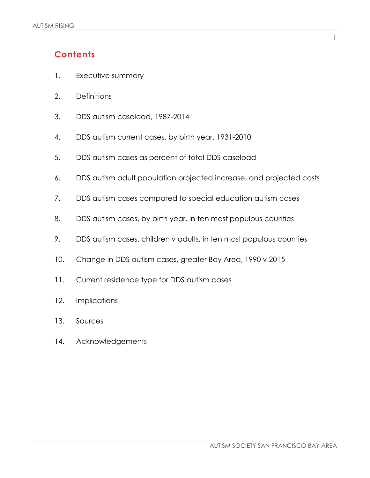## **Contents**

- 1. Executive summary
- 2. Definitions
- 3. DDS autism caseload, 1987-2014
- 4. DDS autism current cases, by birth year, 1931-2010
- 5. DDS autism cases as percent of total DDS caseload
- 6. DDS autism adult population projected increase, and projected costs
- 7. DDS autism cases compared to special education autism cases
- 8. DDS autism cases, by birth year, in ten most populous counties
- 9. DDS autism cases, children v adults, in ten most populous counties
- 10. Change in DDS autism cases, greater Bay Area, 1990 v 2015
- 11. Current residence type for DDS autism cases
- 12. Implications
- 13. Sources
- 14. Acknowledgements

1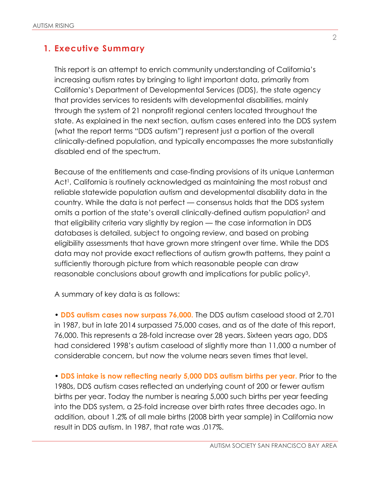#### **1. Executive Summary**

This report is an attempt to enrich community understanding of California's increasing autism rates by bringing to light important data, primarily from California's Department of Developmental Services (DDS), the state agency that provides services to residents with developmental disabilities, mainly through the system of 21 nonprofit regional centers located throughout the state. As explained in the next section, autism cases entered into the DDS system (what the report terms "DDS autism") represent just a portion of the overall clinically-defined population, and typically encompasses the more substantially disabled end of the spectrum.

Because of the entitlements and case-finding provisions of its unique Lanterman Act<sup>1</sup>, California is routinely acknowledged as maintaining the most robust and reliable statewide population autism and developmental disability data in the country. While the data is not perfect — consensus holds that the DDS system omits a portion of the state's overall clinically-defined autism population<sup>2</sup> and that eligibility criteria vary slightly by region — the case information in DDS databases is detailed, subject to ongoing review, and based on probing eligibility assessments that have grown more stringent over time. While the DDS data may not provide exact reflections of autism growth patterns, they paint a sufficiently thorough picture from which reasonable people can draw reasonable conclusions about growth and implications for public policy3.

A summary of key data is as follows:

• **DDS autism cases now surpass 76,000.** The DDS autism caseload stood at 2,701 in 1987, but in late 2014 surpassed 75,000 cases, and as of the date of this report, 76,000. This represents a 28-fold increase over 28 years. Sixteen years ago, DDS had considered 1998's autism caseload of slightly more than 11,000 a number of considerable concern, but now the volume nears seven times that level.

• **DDS intake is now reflecting nearly 5,000 DDS autism births per year.** Prior to the 1980s, DDS autism cases reflected an underlying count of 200 or fewer autism births per year. Today the number is nearing 5,000 such births per year feeding into the DDS system, a 25-fold increase over birth rates three decades ago. In addition, about 1.2% of all male births (2008 birth year sample) in California now result in DDS autism. In 1987, that rate was .017%.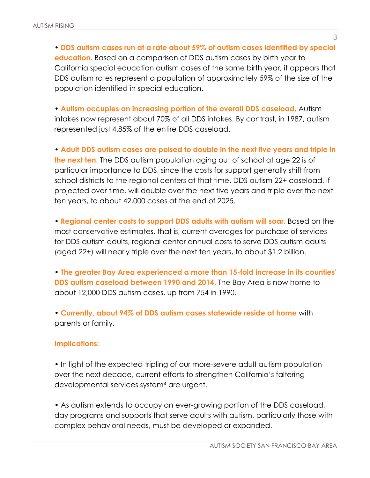• **DDS autism cases run at a rate about 59% of autism cases identified by special education.** Based on a comparison of DDS autism cases by birth year to California special education autism cases of the same birth year, it appears that DDS autism rates represent a population of approximately 59% of the size of the population identified in special education.

• **Autism occupies an increasing portion of the overall DDS caseload**. Autism intakes now represent about 70% of all DDS intakes. By contrast, in 1987, autism represented just 4.85% of the entire DDS caseload.

• **Adult DDS autism cases are poised to double in the next five years and triple in the next ten.** The DDS autism population aging out of school at age 22 is of particular importance to DDS, since the costs for support generally shift from school districts to the regional centers at that time. DDS autism 22+ caseload, if projected over time, will double over the next five years and triple over the next ten years, to about 42,000 cases at the end of 2025.

• **Regional center costs to support DDS adults with autism will soar.** Based on the most conservative estimates, that is, current averages for purchase of services for DDS autism adults, regional center annual costs to serve DDS autism adults (aged 22+) will nearly triple over the next ten years, to about \$1.2 billion.

• **The greater Bay Area experienced a more than 15-fold increase in its counties' DDS autism caseload between 1990 and 2014.** The Bay Area is now home to about 12,000 DDS autism cases, up from 754 in 1990.

• **Currently, about 94% of DDS autism cases statewide reside at home** with parents or family.

#### **Implications:**

• In light of the expected tripling of our more-severe adult autism population over the next decade, current efforts to strengthen California's faltering developmental services system<sup>4</sup> are urgent.

• As autism extends to occupy an ever-growing portion of the DDS caseload, day programs and supports that serve adults with autism, particularly those with complex behavioral needs, must be developed or expanded.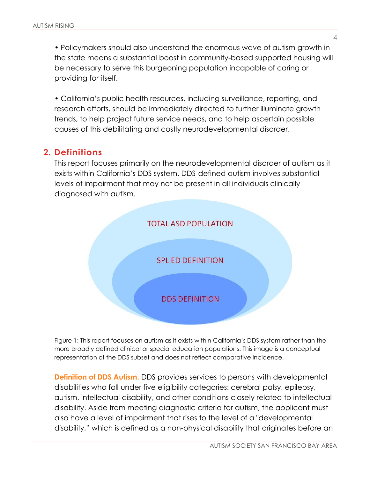• Policymakers should also understand the enormous wave of autism growth in the state means a substantial boost in community-based supported housing will be necessary to serve this burgeoning population incapable of caring or providing for itself.

• California's public health resources, including surveillance, reporting, and research efforts, should be immediately directed to further illuminate growth trends, to help project future service needs, and to help ascertain possible causes of this debilitating and costly neurodevelopmental disorder.

#### **2. Definitions**

This report focuses primarily on the neurodevelopmental disorder of autism as it exists within California's DDS system. DDS-defined autism involves substantial levels of impairment that may not be present in all individuals clinically diagnosed with autism.



Figure 1: This report focuses on autism as it exists within California's DDS system rather than the more broadly defined clinical or special education populations. This image is a conceptual representation of the DDS subset and does not reflect comparative incidence.

**Definition of DDS Autism.** DDS provides services to persons with developmental disabilities who fall under five eligibility categories: cerebral palsy, epilepsy, autism, intellectual disability, and other conditions closely related to intellectual disability. Aside from meeting diagnostic criteria for autism, the applicant must also have a level of impairment that rises to the level of a "developmental disability," which is defined as a non-physical disability that originates before an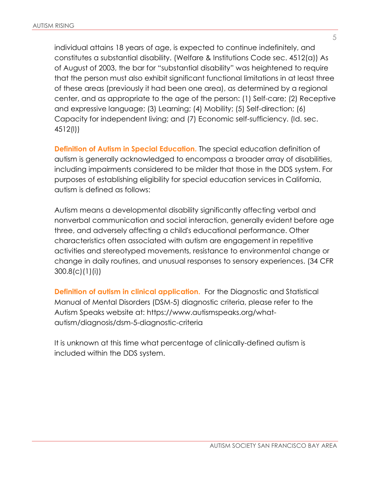individual attains 18 years of age, is expected to continue indefinitely, and constitutes a substantial disability. (Welfare & Institutions Code sec. 4512(a)) As of August of 2003, the bar for "substantial disability" was heightened to require that the person must also exhibit significant functional limitations in at least three of these areas (previously it had been one area), as determined by a regional center, and as appropriate to the age of the person: (1) Self-care; (2) Receptive and expressive language; (3) Learning; (4) Mobility; (5) Self-direction; (6) Capacity for independent living; and (7) Economic self-sufficiency. (Id. sec. 4512(l))

**Definition of Autism in Special Education.** The special education definition of autism is generally acknowledged to encompass a broader array of disabilities, including impairments considered to be milder that those in the DDS system. For purposes of establishing eligibility for special education services in California, autism is defined as follows:

Autism means a developmental disability significantly affecting verbal and nonverbal communication and social interaction, generally evident before age three, and adversely affecting a child's educational performance. Other characteristics often associated with autism are engagement in repetitive activities and stereotyped movements, resistance to environmental change or change in daily routines, and unusual responses to sensory experiences. (34 CFR 300.8(c)(1)(i))

**Definition of autism in clinical application.** For the Diagnostic and Statistical Manual of Mental Disorders (DSM-5) diagnostic criteria, please refer to the Autism Speaks website at: https://www.autismspeaks.org/whatautism/diagnosis/dsm-5-diagnostic-criteria

It is unknown at this time what percentage of clinically-defined autism is included within the DDS system.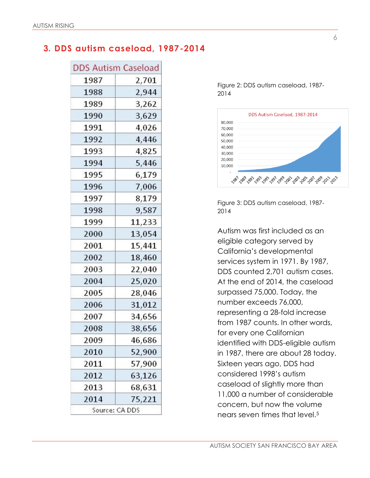### **3. DDS autism caseload, 1987-2014**

| <b>DDS Autism Caseload</b> |        |  |
|----------------------------|--------|--|
| 1987                       | 2,701  |  |
| 1988                       | 2,944  |  |
| 1989                       | 3,262  |  |
| 1990                       | 3,629  |  |
| 1991                       | 4,026  |  |
| 1992                       | 4,446  |  |
| 1993                       | 4,825  |  |
| 1994                       | 5,446  |  |
| 1995                       | 6,179  |  |
| 1996                       | 7,006  |  |
| 1997                       | 8,179  |  |
| 1998                       | 9,587  |  |
| 1999                       | 11,233 |  |
| 2000                       | 13,054 |  |
| 2001                       | 15,441 |  |
| 2002                       | 18,460 |  |
| 2003                       | 22,040 |  |
| 2004                       | 25,020 |  |
| 2005                       | 28,046 |  |
| 2006                       | 31,012 |  |
| 2007                       | 34,656 |  |
| 2008                       | 38,656 |  |
| 2009                       | 46,686 |  |
| 2010                       | 52,900 |  |
| 2011                       | 57,900 |  |
| 2012                       | 63,126 |  |
| 2013                       | 68,631 |  |
| 2014                       | 75,221 |  |
| Source: CA DDS             |        |  |

Figure 2: DDS autism caseload, 1987- 2014



Figure 3: DDS autism caseload, 1987- 2014

Autism was first included as an eligible category served by California's developmental services system in 1971. By 1987, DDS counted 2,701 autism cases. At the end of 2014, the caseload surpassed 75,000. Today, the number exceeds 76,000, representing a 28-fold increase from 1987 counts. In other words, for every one Californian identified with DDS-eligible autism in 1987, there are about 28 today. Sixteen years ago, DDS had considered 1998's autism caseload of slightly more than 11,000 a number of considerable concern, but now the volume nears seven times that level.5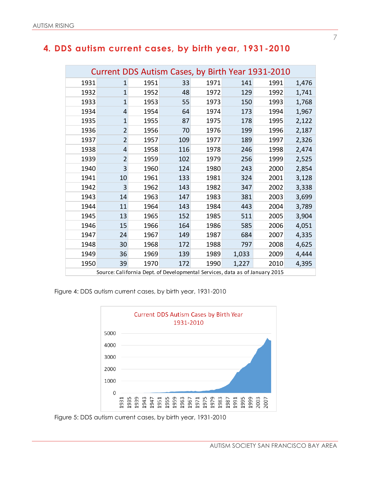### **4. DDS autism current cases, by birth year, 1931-2010**

| Current DDS Autism Cases, by Birth Year 1931-2010 |                                                                             |      |     |      |       |      |       |
|---------------------------------------------------|-----------------------------------------------------------------------------|------|-----|------|-------|------|-------|
| 1931                                              | 1                                                                           | 1951 | 33  | 1971 | 141   | 1991 | 1,476 |
| 1932                                              | $\mathbf{1}$                                                                | 1952 | 48  | 1972 | 129   | 1992 | 1,741 |
| 1933                                              | $\mathbf{1}$                                                                | 1953 | 55  | 1973 | 150   | 1993 | 1,768 |
| 1934                                              | 4                                                                           | 1954 | 64  | 1974 | 173   | 1994 | 1,967 |
| 1935                                              | $\mathbf{1}$                                                                | 1955 | 87  | 1975 | 178   | 1995 | 2,122 |
| 1936                                              | $\overline{2}$                                                              | 1956 | 70  | 1976 | 199   | 1996 | 2,187 |
| 1937                                              | $\overline{2}$                                                              | 1957 | 109 | 1977 | 189   | 1997 | 2,326 |
| 1938                                              | 4                                                                           | 1958 | 116 | 1978 | 246   | 1998 | 2,474 |
| 1939                                              | $\overline{2}$                                                              | 1959 | 102 | 1979 | 256   | 1999 | 2,525 |
| 1940                                              | 3                                                                           | 1960 | 124 | 1980 | 243   | 2000 | 2,854 |
| 1941                                              | 10                                                                          | 1961 | 133 | 1981 | 324   | 2001 | 3,128 |
| 1942                                              | 3                                                                           | 1962 | 143 | 1982 | 347   | 2002 | 3,338 |
| 1943                                              | 14                                                                          | 1963 | 147 | 1983 | 381   | 2003 | 3,699 |
| 1944                                              | 11                                                                          | 1964 | 143 | 1984 | 443   | 2004 | 3,789 |
| 1945                                              | 13                                                                          | 1965 | 152 | 1985 | 511   | 2005 | 3,904 |
| 1946                                              | 15                                                                          | 1966 | 164 | 1986 | 585   | 2006 | 4,051 |
| 1947                                              | 24                                                                          | 1967 | 149 | 1987 | 684   | 2007 | 4,335 |
| 1948                                              | 30                                                                          | 1968 | 172 | 1988 | 797   | 2008 | 4,625 |
| 1949                                              | 36                                                                          | 1969 | 139 | 1989 | 1,033 | 2009 | 4,444 |
| 1950                                              | 39                                                                          | 1970 | 172 | 1990 | 1,227 | 2010 | 4,395 |
|                                                   | Source: California Dept. of Developmental Services, data as of January 2015 |      |     |      |       |      |       |

Figure 4: DDS autism current cases, by birth year, 1931-2010



Figure 5: DDS autism current cases, by birth year, 1931-2010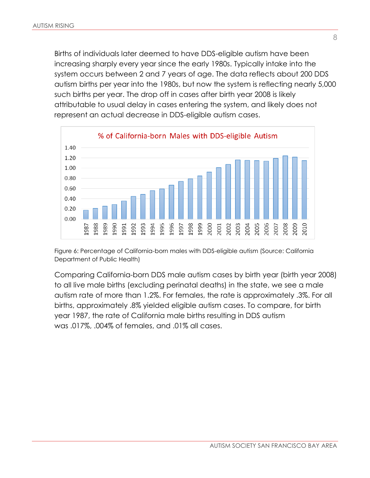Births of individuals later deemed to have DDS-eligible autism have been increasing sharply every year since the early 1980s. Typically intake into the system occurs between 2 and 7 years of age. The data reflects about 200 DDS autism births per year into the 1980s, but now the system is reflecting nearly 5,000 such births per year. The drop off in cases after birth year 2008 is likely attributable to usual delay in cases entering the system, and likely does not represent an actual decrease in DDS-eligible autism cases.



Figure 6: Percentage of California-born males with DDS-eligible autism (Source: California Department of Public Health)

Comparing California-born DDS male autism cases by birth year (birth year 2008) to all live male births (excluding perinatal deaths) in the state, we see a male autism rate of more than 1.2%. For females, the rate is approximately .3%. For all births, approximately .8% yielded eligible autism cases. To compare, for birth year 1987, the rate of California male births resulting in DDS autism was .017%, .004% of females, and .01% all cases.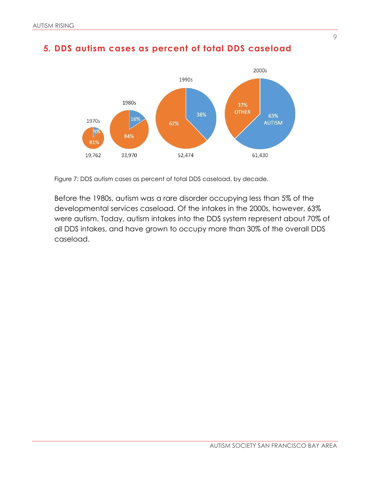



Figure 7: DDS autism cases as percent of total DDS caseload, by decade.

Before the 1980s, autism was a rare disorder occupying less than 5% of the developmental services caseload. Of the intakes in the 2000s, however, 63% were autism. Today, autism intakes into the DDS system represent about 70% of all DDS intakes, and have grown to occupy more than 30% of the overall DDS caseload.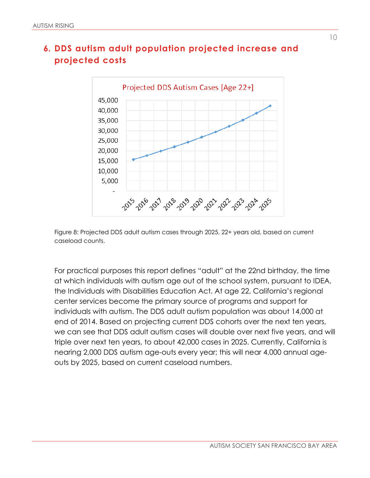



Figure 8: Projected DDS adult autism cases through 2025, 22+ years old, based on current caseload counts.

For practical purposes this report defines "adult" at the 22nd birthday, the time at which individuals with autism age out of the school system, pursuant to IDEA, the Individuals with Disabilities Education Act. At age 22, California's regional center services become the primary source of programs and support for individuals with autism. The DDS adult autism population was about 14,000 at end of 2014. Based on projecting current DDS cohorts over the next ten years, we can see that DDS adult autism cases will double over next five years, and will triple over next ten years, to about 42,000 cases in 2025. Currently, California is nearing 2,000 DDS autism age-outs every year; this will near 4,000 annual ageouts by 2025, based on current caseload numbers.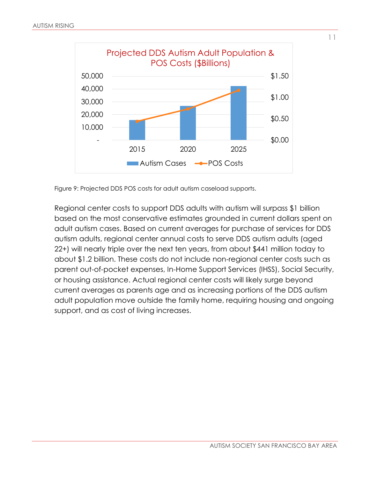

Figure 9: Projected DDS POS costs for adult autism caseload supports.

Regional center costs to support DDS adults with autism will surpass \$1 billion based on the most conservative estimates grounded in current dollars spent on adult autism cases. Based on current averages for purchase of services for DDS autism adults, regional center annual costs to serve DDS autism adults (aged 22+) will nearly triple over the next ten years, from about \$441 million today to about \$1.2 billion. These costs do not include non-regional center costs such as parent out-of-pocket expenses, In-Home Support Services (IHSS), Social Security, or housing assistance. Actual regional center costs will likely surge beyond current averages as parents age and as increasing portions of the DDS autism adult population move outside the family home, requiring housing and ongoing support, and as cost of living increases.

11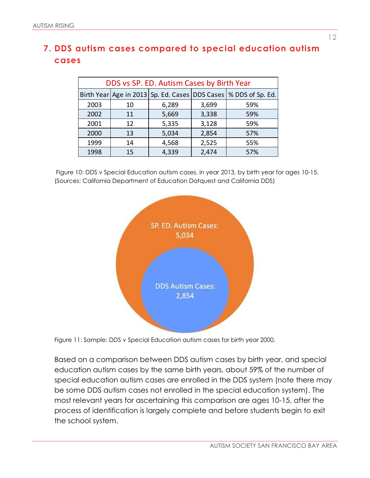## **7. DDS autism cases compared to special education autism cases**

| DDS vs SP. ED. Autism Cases by Birth Year |    |       |       |                                                                   |
|-------------------------------------------|----|-------|-------|-------------------------------------------------------------------|
|                                           |    |       |       | Birth Year Age in 2013 Sp. Ed. Cases DDS Cases   % DDS of Sp. Ed. |
| 2003                                      | 10 | 6,289 | 3,699 | 59%                                                               |
| 2002                                      | 11 | 5,669 | 3,338 | 59%                                                               |
| 2001                                      | 12 | 5,335 | 3,128 | 59%                                                               |
| 2000                                      | 13 | 5,034 | 2,854 | 57%                                                               |
| 1999                                      | 14 | 4,568 | 2,525 | 55%                                                               |
| 1998                                      | 15 | 4,339 | 2,474 | 57%                                                               |

Figure 10: DDS v Special Education autism cases, in year 2013, by birth year for ages 10-15. (Sources: California Department of Education Datquest and California DDS)



Figure 11: Sample: DDS v Special Education autism cases for birth year 2000.

Based on a comparison between DDS autism cases by birth year, and special education autism cases by the same birth years, about 59% of the number of special education autism cases are enrolled in the DDS system (note there may be some DDS autism cases not enrolled in the special education system). The most relevant years for ascertaining this comparison are ages 10-15, after the process of identification is largely complete and before students begin to exit the school system.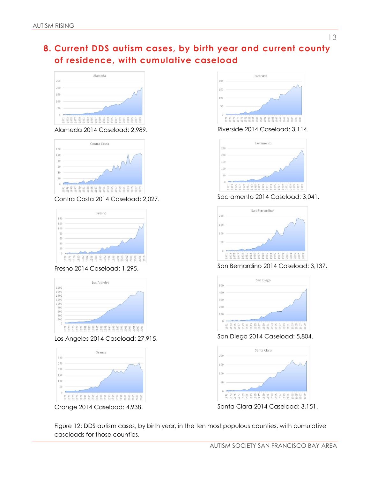## **8. Current DDS autism cases, by birth year and current county of residence, with cumulative caseload**



Alameda 2014 Caseload: 2,989.



Contra Costa 2014 Caseload: 2,027.



Fresno 2014 Caseload: 1,295.



Los Angeles 2014 Caseload: 27,915.



Orange 2014 Caseload: 4,938.



Riverside 2014 Caseload: 3,114.



Sacramento 2014 Caseload: 3,041.



San Bernardino 2014 Caseload: 3,137.



San Diego 2014 Caseload: 5,804.



Figure 12: DDS autism cases, by birth year, in the ten most populous counties, with cumulative caseloads for those counties.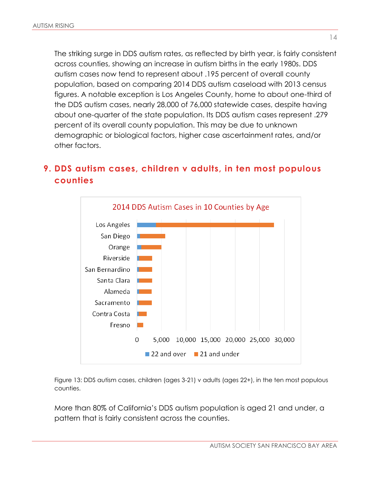The striking surge in DDS autism rates, as reflected by birth year, is fairly consistent across counties, showing an increase in autism births in the early 1980s. DDS autism cases now tend to represent about .195 percent of overall county population, based on comparing 2014 DDS autism caseload with 2013 census figures. A notable exception is Los Angeles County, home to about one-third of the DDS autism cases, nearly 28,000 of 76,000 statewide cases, despite having about one-quarter of the state population. Its DDS autism cases represent .279 percent of its overall county population. This may be due to unknown demographic or biological factors, higher case ascertainment rates, and/or other factors.

## **9. DDS autism cases, children v adults, in ten most populous counties**



Figure 13: DDS autism cases, children (ages 3-21) v adults (ages 22+), in the ten most populous counties.

More than 80% of California's DDS autism population is aged 21 and under, a pattern that is fairly consistent across the counties.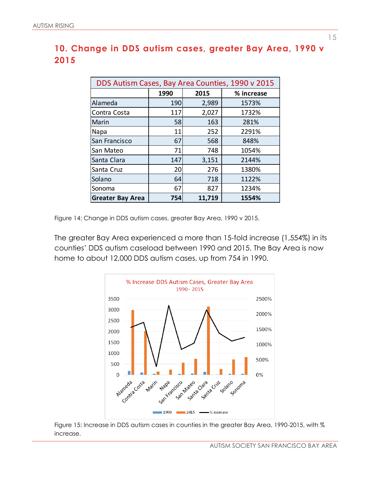## **10. Change in DDS autism cases, greater Bay Area, 1990 v 2015**

| DDS Autism Cases, Bay Area Counties, 1990 v 2015 |      |        |            |  |
|--------------------------------------------------|------|--------|------------|--|
|                                                  | 1990 | 2015   | % increase |  |
| Alameda                                          | 190  | 2,989  | 1573%      |  |
| Contra Costa                                     | 117  | 2,027  | 1732%      |  |
| Marin                                            | 58   | 163    | 281%       |  |
| Napa                                             | 11   | 252    | 2291%      |  |
| San Francisco                                    | 67   | 568    | 848%       |  |
| San Mateo                                        | 71   | 748    | 1054%      |  |
| Santa Clara                                      | 147  | 3,151  | 2144%      |  |
| Santa Cruz                                       | 20   | 276    | 1380%      |  |
| Solano                                           | 64   | 718    | 1122%      |  |
| Sonoma                                           | 67   | 827    | 1234%      |  |
| <b>Greater Bay Area</b>                          | 754  | 11,719 | 1554%      |  |

Figure 14: Change in DDS autism cases, greater Bay Area, 1990 v 2015.

The greater Bay Area experienced a more than 15-fold increase (1,554%) in its counties' DDS autism caseload between 1990 and 2015. The Bay Area is now home to about 12,000 DDS autism cases, up from 754 in 1990.



Figure 15: Increase in DDS autism cases in counties in the greater Bay Area, 1990-2015, with % increase.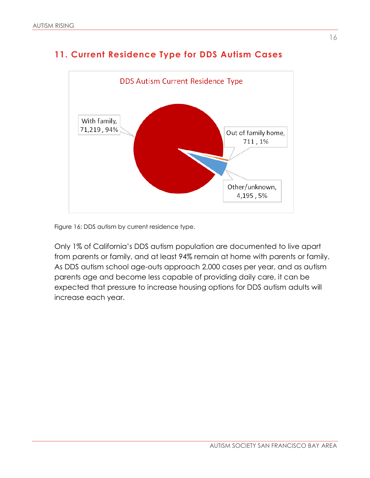

# **11. Current Residence Type for DDS Autism Cases**

Figure 16: DDS autism by current residence type.

Only 1% of California's DDS autism population are documented to live apart from parents or family, and at least 94% remain at home with parents or family. As DDS autism school age-outs approach 2,000 cases per year, and as autism parents age and become less capable of providing daily care, it can be expected that pressure to increase housing options for DDS autism adults will increase each year.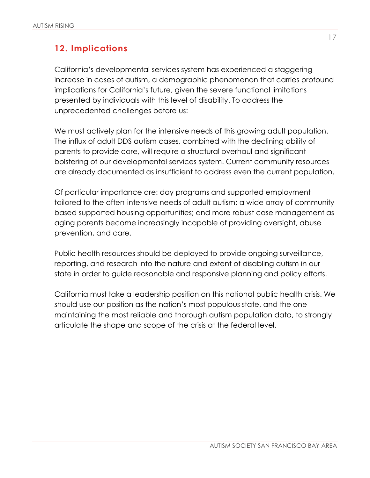## **12. Implications**

California's developmental services system has experienced a staggering increase in cases of autism, a demographic phenomenon that carries profound implications for California's future, given the severe functional limitations presented by individuals with this level of disability. To address the unprecedented challenges before us:

We must actively plan for the intensive needs of this growing adult population. The influx of adult DDS autism cases, combined with the declining ability of parents to provide care, will require a structural overhaul and significant bolstering of our developmental services system. Current community resources are already documented as insufficient to address even the current population.

Of particular importance are: day programs and supported employment tailored to the often-intensive needs of adult autism; a wide array of communitybased supported housing opportunities; and more robust case management as aging parents become increasingly incapable of providing oversight, abuse prevention, and care.

Public health resources should be deployed to provide ongoing surveillance, reporting, and research into the nature and extent of disabling autism in our state in order to guide reasonable and responsive planning and policy efforts.

California must take a leadership position on this national public health crisis. We should use our position as the nation's most populous state, and the one maintaining the most reliable and thorough autism population data, to strongly articulate the shape and scope of the crisis at the federal level.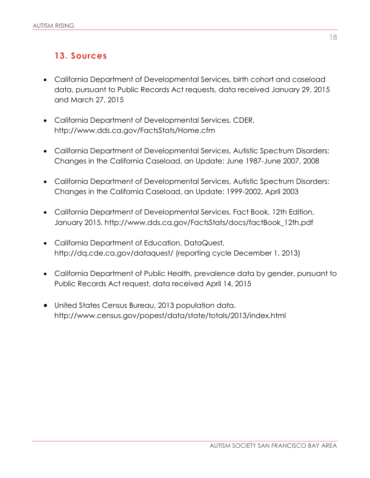## **13. Sources**

- California Department of Developmental Services, birth cohort and caseload data, pursuant to Public Records Act requests, data received January 29, 2015 and March 27, 2015
- California Department of Developmental Services, CDER, http://www.dds.ca.gov/FactsStats/Home.cfm
- California Department of Developmental Services, Autistic Spectrum Disorders: Changes in the California Caseload, an Update: June 1987-June 2007, 2008
- California Department of Developmental Services, Autistic Spectrum Disorders: Changes in the California Caseload, an Update: 1999-2002, April 2003
- California Department of Developmental Services, Fact Book, 12th Edition, January 2015. http://www.dds.ca.gov/FactsStats/docs/factBook\_12th.pdf
- California Department of Education, DataQuest, http://dq.cde.ca.gov/dataquest/ (reporting cycle December 1, 2013)
- California Department of Public Health, prevalence data by gender, pursuant to Public Records Act request, data received April 14, 2015
- United States Census Bureau, 2013 population data. http://www.census.gov/popest/data/state/totals/2013/index.html